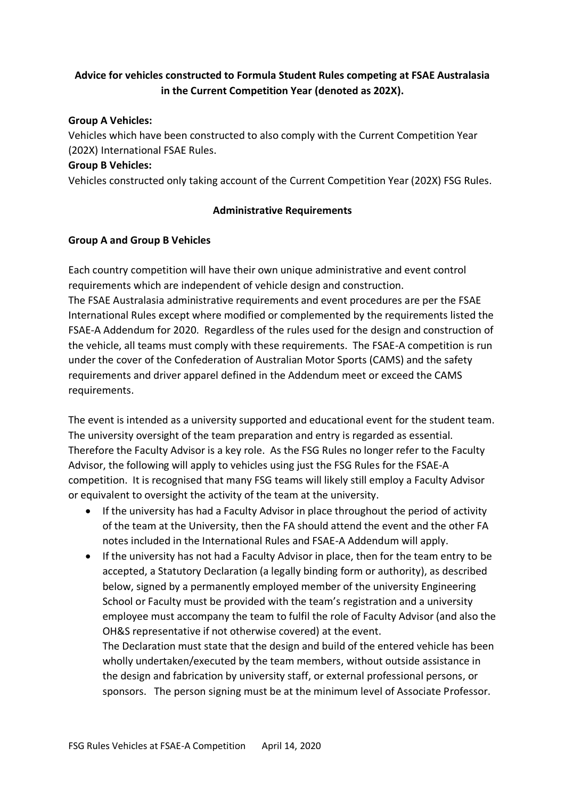# **Advice for vehicles constructed to Formula Student Rules competing at FSAE Australasia in the Current Competition Year (denoted as 202X).**

#### **Group A Vehicles:**

Vehicles which have been constructed to also comply with the Current Competition Year (202X) International FSAE Rules.

#### **Group B Vehicles:**

Vehicles constructed only taking account of the Current Competition Year (202X) FSG Rules.

### **Administrative Requirements**

### **Group A and Group B Vehicles**

Each country competition will have their own unique administrative and event control requirements which are independent of vehicle design and construction. The FSAE Australasia administrative requirements and event procedures are per the FSAE International Rules except where modified or complemented by the requirements listed the FSAE-A Addendum for 2020. Regardless of the rules used for the design and construction of the vehicle, all teams must comply with these requirements. The FSAE-A competition is run under the cover of the Confederation of Australian Motor Sports (CAMS) and the safety requirements and driver apparel defined in the Addendum meet or exceed the CAMS requirements.

The event is intended as a university supported and educational event for the student team. The university oversight of the team preparation and entry is regarded as essential. Therefore the Faculty Advisor is a key role. As the FSG Rules no longer refer to the Faculty Advisor, the following will apply to vehicles using just the FSG Rules for the FSAE-A competition. It is recognised that many FSG teams will likely still employ a Faculty Advisor or equivalent to oversight the activity of the team at the university.

- If the university has had a Faculty Advisor in place throughout the period of activity of the team at the University, then the FA should attend the event and the other FA notes included in the International Rules and FSAE-A Addendum will apply.
- If the university has not had a Faculty Advisor in place, then for the team entry to be accepted, a Statutory Declaration (a legally binding form or authority), as described below, signed by a permanently employed member of the university Engineering School or Faculty must be provided with the team's registration and a university employee must accompany the team to fulfil the role of Faculty Advisor (and also the OH&S representative if not otherwise covered) at the event.

The Declaration must state that the design and build of the entered vehicle has been wholly undertaken/executed by the team members, without outside assistance in the design and fabrication by university staff, or external professional persons, or sponsors. The person signing must be at the minimum level of Associate Professor.